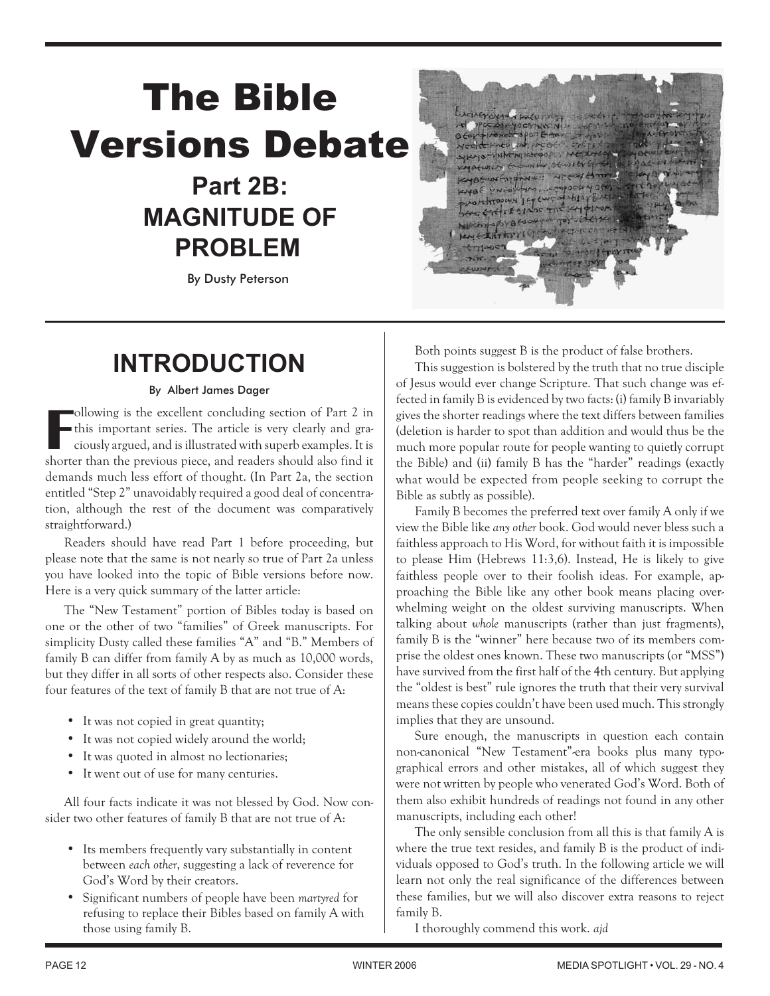# **The Bible Versions Debate Part 2B:**

# **MAGNITUDE OF PROBLEM**

*By Dusty Peterson*



Both points suggest B is the product of false brothers.

# **INTRODUCTION**

# By Albert James Dager

**F** ollowing is the excellent concluding section of Part 2 in this important series. The article is very clearly and graciously argued, and is illustrated with superb examples. It is shorter than the previous piece, and readers should also find it demands much less effort of thought. (In Part 2a, the section entitled "Step 2" unavoidably required a good deal of concentration, although the rest of the document was comparatively straightforward.)

Readers should have read Part 1 before proceeding, but please note that the same is not nearly so true of Part 2a unless you have looked into the topic of Bible versions before now. Here is a very quick summary of the latter article:

The "New Testament" portion of Bibles today is based on one or the other of two "families" of Greek manuscripts. For simplicity Dusty called these families "A" and "B." Members of family B can differ from family A by as much as 10,000 words, but they differ in all sorts of other respects also. Consider these four features of the text of family B that are not true of A:

- It was not copied in great quantity; •
- It was not copied widely around the world; •
- It was quoted in almost no lectionaries; •
- It went out of use for many centuries.

All four facts indicate it was not blessed by God. Now consider two other features of family B that are not true of A:

- Its members frequently vary substantially in content between *each other*, suggesting a lack of reverence for God's Word by their creators.
- Significant numbers of people have been *martyred* for refusing to replace their Bibles based on family A with those using family B.

This suggestion is bolstered by the truth that no true disciple of Jesus would ever change Scripture. That such change was effected in family B is evidenced by two facts: (i) family B invariably gives the shorter readings where the text differs between families (deletion is harder to spot than addition and would thus be the much more popular route for people wanting to quietly corrupt the Bible) and (ii) family B has the "harder" readings (exactly what would be expected from people seeking to corrupt the Bible as subtly as possible).

Family B becomes the preferred text over family A only if we view the Bible like *any other* book. God would never bless such a faithless approach to His Word, for without faith it is impossible to please Him (Hebrews 11:3,6). Instead, He is likely to give faithless people over to their foolish ideas. For example, approaching the Bible like any other book means placing overwhelming weight on the oldest surviving manuscripts. When talking about *whole* manuscripts (rather than just fragments), family B is the "winner" here because two of its members comprise the oldest ones known. These two manuscripts (or "MSS") have survived from the first half of the 4th century. But applying the "oldest is best" rule ignores the truth that their very survival means these copies couldn't have been used much. This strongly implies that they are unsound.

Sure enough, the manuscripts in question each contain non-canonical "New Testament"-era books plus many typographical errors and other mistakes, all of which suggest they were not written by people who venerated God's Word. Both of them also exhibit hundreds of readings not found in any other manuscripts, including each other!

The only sensible conclusion from all this is that family A is where the true text resides, and family B is the product of individuals opposed to God's truth. In the following article we will learn not only the real significance of the differences between these families, but we will also discover extra reasons to reject family B.

I thoroughly commend this work. *ajd*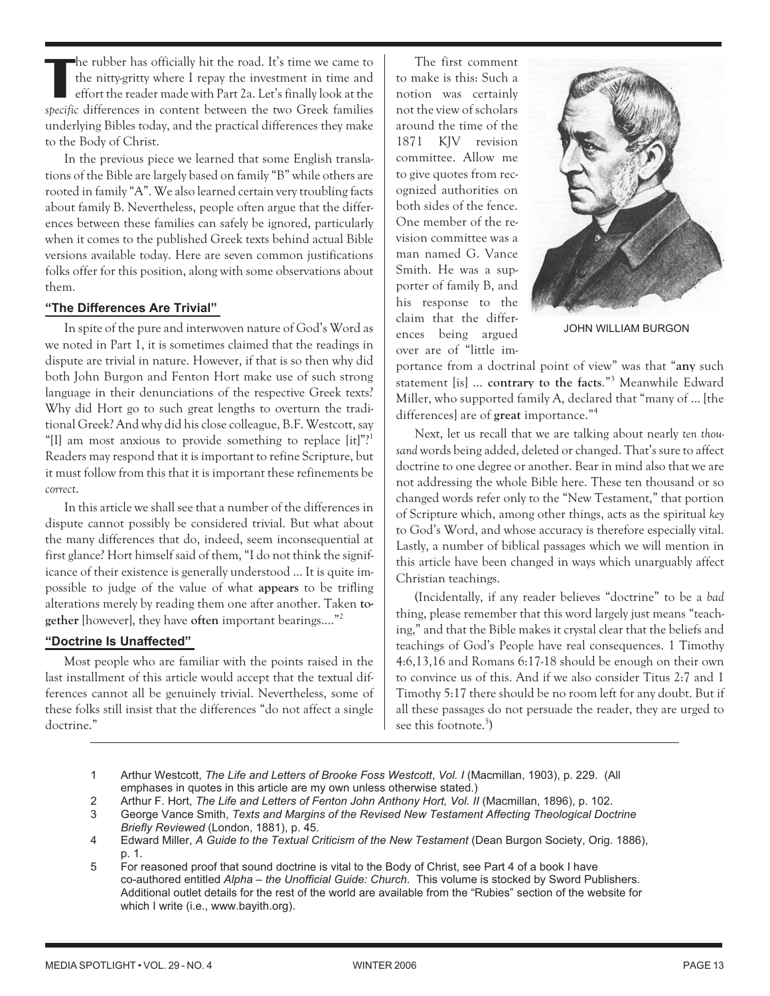**T** he rubber has officially hit the road. It's time we came to the nitty-gritty where I repay the investment in time and effort the reader made with Part 2a. Let's finally look at the *specific* differences in content between the two Greek families underlying Bibles today, and the practical differences they make to the Body of Christ.

In the previous piece we learned that some English translations of the Bible are largely based on family "B" while others are rooted in family "A". We also learned certain very troubling facts about family B. Nevertheless, people often argue that the differences between these families can safely be ignored, particularly when it comes to the published Greek texts behind actual Bible versions available today. Here are seven common justifications folks offer for this position, along with some observations about them.

# **"The Differences Are Trivial"**

In spite of the pure and interwoven nature of God's Word as we noted in Part 1, it is sometimes claimed that the readings in dispute are trivial in nature. However, if that is so then why did both John Burgon and Fenton Hort make use of such strong language in their denunciations of the respective Greek texts? Why did Hort go to such great lengths to overturn the traditional Greek? And why did his close colleague, B.F. Westcott, say "[I] am most anxious to provide something to replace [it]"?<sup>1</sup> Readers may respond that it is important to refine Scripture, but it must follow from this that it is important these refinements be *correct*.

In this article we shall see that a number of the differences in dispute cannot possibly be considered trivial. But what about the many differences that do, indeed, seem inconsequential at first glance? Hort himself said of them, "I do not think the significance of their existence is generally understood … It is quite impossible to judge of the value of what **appears** to be trifling alterations merely by reading them one after another. Taken **together** [however], they have **often** important bearings.…"2

# **"Doctrine Is Unaffected"**

Most people who are familiar with the points raised in the last installment of this article would accept that the textual differences cannot all be genuinely trivial. Nevertheless, some of these folks still insist that the differences "do not affect a single doctrine."

The first comment to make is this: Such a notion was certainly not the view of scholars around the time of the 1871 KJV revision committee. Allow me to give quotes from recognized authorities on both sides of the fence. One member of the revision committee was a man named G. Vance Smith. He was a supporter of family B, and his response to the claim that the differences being argued over are of "little im-



JOHN WILLIAM BURGON

portance from a doctrinal point of view" was that "**any** such statement [is] … **contrary to the facts**."3 Meanwhile Edward Miller, who supported family A, declared that "many of … [the differences] are of **great** importance."4

Next, let us recall that we are talking about nearly *ten thousand* words being added, deleted or changed. That's sure to affect doctrine to one degree or another. Bear in mind also that we are not addressing the whole Bible here. These ten thousand or so changed words refer only to the "New Testament," that portion of Scripture which, among other things, acts as the spiritual *key* to God's Word, and whose accuracy is therefore especially vital. Lastly, a number of biblical passages which we will mention in this article have been changed in ways which unarguably affect Christian teachings.

(Incidentally, if any reader believes "doctrine" to be a *bad* thing, please remember that this word largely just means "teaching," and that the Bible makes it crystal clear that the beliefs and teachings of God's People have real consequences. 1 Timothy 4:6,13,16 and Romans 6:17-18 should be enough on their own to convince us of this. And if we also consider Titus 2:7 and 1 Timothy 5:17 there should be no room left for any doubt. But if all these passages do not persuade the reader, they are urged to see this footnote.<sup>5</sup>)

- 1 Arthur Westcott, *The Life and Letters of Brooke Foss Westcott*, *Vol. I* (Macmillan, 1903), p. 229. (All emphases in quotes in this article are my own unless otherwise stated.)
- 2 Arthur F. Hort, *The Life and Letters of Fenton John Anthony Hort, Vol. II* (Macmillan, 1896), p. 102.
- 3 George Vance Smith, *Texts and Margins of the Revised New Testament Affecting Theological Doctrine Briefly Reviewed* (London, 1881), p. 45.
- 4 Edward Miller, *A Guide to the Textual Criticism of the New Testament* (Dean Burgon Society, Orig. 1886), p. 1.
- 5 For reasoned proof that sound doctrine is vital to the Body of Christ, see Part 4 of a book I have co-authored entitled *Alpha – the Unofficial Guide: Church*. This volume is stocked by Sword Publishers. Additional outlet details for the rest of the world are available from the "Rubies" section of the website for which I write (i.e., www.bayith.org).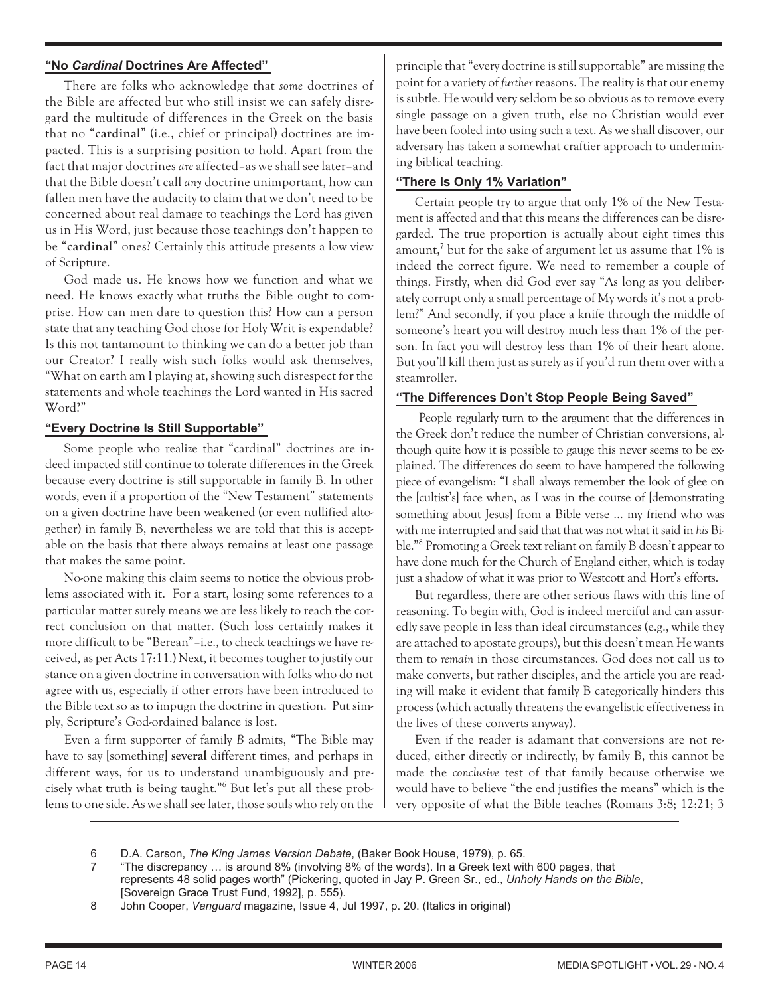# **"No** *Cardinal* **Doctrines Are Affected"**

There are folks who acknowledge that *some* doctrines of the Bible are affected but who still insist we can safely disregard the multitude of differences in the Greek on the basis that no "**cardinal**" (i.e., chief or principal) doctrines are impacted. This is a surprising position to hold. Apart from the fact that major doctrines *are* affected–as we shall see later–and that the Bible doesn't call *any* doctrine unimportant, how can fallen men have the audacity to claim that we don't need to be concerned about real damage to teachings the Lord has given us in His Word, just because those teachings don't happen to be "**cardinal**" ones? Certainly this attitude presents a low view of Scripture.

God made us. He knows how we function and what we need. He knows exactly what truths the Bible ought to comprise. How can men dare to question this? How can a person state that any teaching God chose for Holy Writ is expendable? Is this not tantamount to thinking we can do a better job than our Creator? I really wish such folks would ask themselves, "What on earth am I playing at, showing such disrespect for the statements and whole teachings the Lord wanted in His sacred Word?"

# **"Every Doctrine Is Still Supportable"**

Some people who realize that "cardinal" doctrines are indeed impacted still continue to tolerate differences in the Greek because every doctrine is still supportable in family B. In other words, even if a proportion of the "New Testament" statements on a given doctrine have been weakened (or even nullified altogether) in family B, nevertheless we are told that this is acceptable on the basis that there always remains at least one passage that makes the same point.

No-one making this claim seems to notice the obvious problems associated with it. For a start, losing some references to a particular matter surely means we are less likely to reach the correct conclusion on that matter. (Such loss certainly makes it more difficult to be "Berean"–i.e., to check teachings we have received, as per Acts 17:11.) Next, it becomes tougher to justify our stance on a given doctrine in conversation with folks who do not agree with us, especially if other errors have been introduced to the Bible text so as to impugn the doctrine in question. Put simply, Scripture's God-ordained balance is lost.

Even a firm supporter of family *B* admits, "The Bible may have to say [something] **several** different times, and perhaps in different ways, for us to understand unambiguously and precisely what truth is being taught."6 But let's put all these problems to one side. As we shall see later, those souls who rely on the principle that "every doctrine is still supportable" are missing the point for a variety of *further* reasons. The reality is that our enemy is subtle. He would very seldom be so obvious as to remove every single passage on a given truth, else no Christian would ever have been fooled into using such a text. As we shall discover, our adversary has taken a somewhat craftier approach to undermining biblical teaching.

# **"There Is Only 1% Variation"**

Certain people try to argue that only 1% of the New Testament is affected and that this means the differences can be disregarded. The true proportion is actually about eight times this amount,<sup>7</sup> but for the sake of argument let us assume that  $1\%$  is indeed the correct figure. We need to remember a couple of things. Firstly, when did God ever say "As long as you deliberately corrupt only a small percentage of My words it's not a problem?" And secondly, if you place a knife through the middle of someone's heart you will destroy much less than 1% of the person. In fact you will destroy less than 1% of their heart alone. But you'll kill them just as surely as if you'd run them over with a steamroller.

# **"The Differences Don't Stop People Being Saved"**

People regularly turn to the argument that the differences in the Greek don't reduce the number of Christian conversions, although quite how it is possible to gauge this never seems to be explained. The differences do seem to have hampered the following piece of evangelism: "I shall always remember the look of glee on the [cultist's] face when, as I was in the course of [demonstrating something about Jesus] from a Bible verse ... my friend who was with me interrupted and said that that was not what it said in *his* Bible."8 Promoting a Greek text reliant on family B doesn't appear to have done much for the Church of England either, which is today just a shadow of what it was prior to Westcott and Hort's efforts.

But regardless, there are other serious flaws with this line of reasoning. To begin with, God is indeed merciful and can assuredly save people in less than ideal circumstances (e.g., while they are attached to apostate groups), but this doesn't mean He wants them to *remain* in those circumstances. God does not call us to make converts, but rather disciples, and the article you are reading will make it evident that family B categorically hinders this process (which actually threatens the evangelistic effectiveness in the lives of these converts anyway).

Even if the reader is adamant that conversions are not reduced, either directly or indirectly, by family B, this cannot be made the *conclusive* test of that family because otherwise we would have to believe "the end justifies the means" which is the very opposite of what the Bible teaches (Romans 3:8; 12:21; 3

- 6 D.A. Carson, *The King James Version Debate*, (Baker Book House, 1979), p. 65.
- 7 "The discrepancy … is around 8% (involving 8% of the words). In a Greek text with 600 pages, that represents 48 solid pages worth" (Pickering, quoted in Jay P. Green Sr., ed., *Unholy Hands on the Bible*, [Sovereign Grace Trust Fund, 1992], p. 555).
- 8 John Cooper, *Vanguard* magazine, Issue 4, Jul 1997, p. 20. (Italics in original)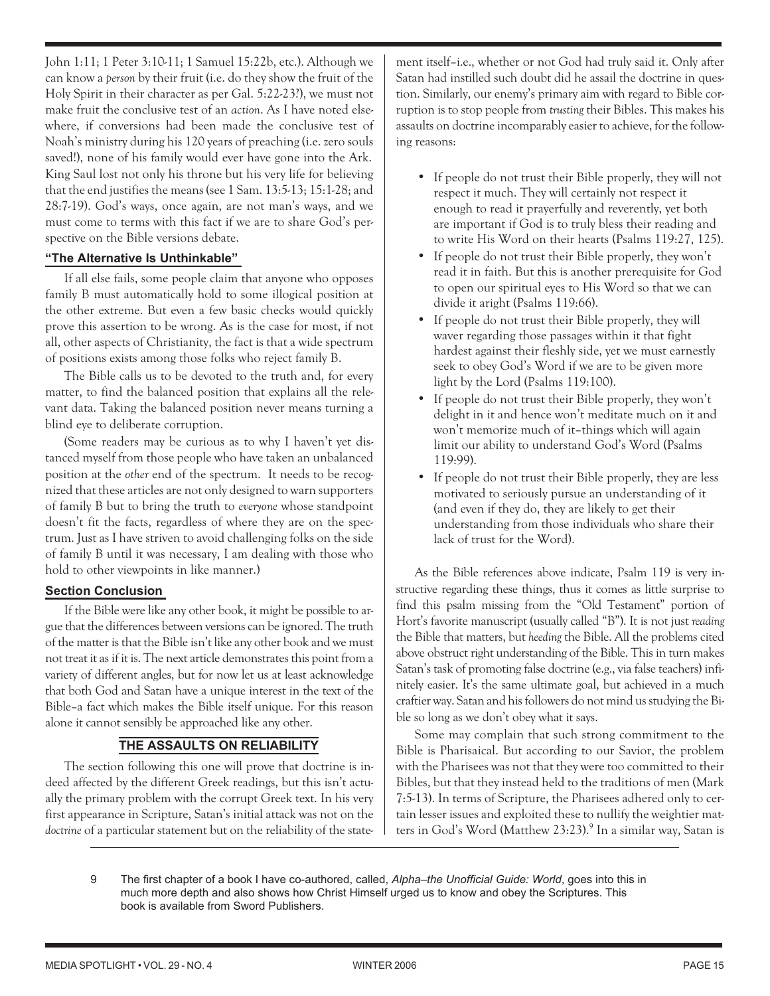John 1:11; 1 Peter 3:10-11; 1 Samuel 15:22b, etc.). Although we can know a *person* by their fruit (i.e. do they show the fruit of the Holy Spirit in their character as per Gal. 5:22-23?), we must not make fruit the conclusive test of an *action*. As I have noted elsewhere, if conversions had been made the conclusive test of Noah's ministry during his 120 years of preaching (i.e. zero souls saved!), none of his family would ever have gone into the Ark. King Saul lost not only his throne but his very life for believing that the end justifies the means (see 1 Sam. 13:5-13; 15:1-28; and 28:7-19). God's ways, once again, are not man's ways, and we must come to terms with this fact if we are to share God's perspective on the Bible versions debate.

# **"The Alternative Is Unthinkable"**

If all else fails, some people claim that anyone who opposes family B must automatically hold to some illogical position at the other extreme. But even a few basic checks would quickly prove this assertion to be wrong. As is the case for most, if not all, other aspects of Christianity, the fact is that a wide spectrum of positions exists among those folks who reject family B.

The Bible calls us to be devoted to the truth and, for every matter, to find the balanced position that explains all the relevant data. Taking the balanced position never means turning a blind eye to deliberate corruption.

(Some readers may be curious as to why I haven't yet distanced myself from those people who have taken an unbalanced position at the *other* end of the spectrum. It needs to be recognized that these articles are not only designed to warn supporters of family B but to bring the truth to *everyone* whose standpoint doesn't fit the facts, regardless of where they are on the spectrum. Just as I have striven to avoid challenging folks on the side of family B until it was necessary, I am dealing with those who hold to other viewpoints in like manner.)

# **Section Conclusion**

If the Bible were like any other book, it might be possible to argue that the differences between versions can be ignored. The truth of the matter is that the Bible isn't like any other book and we must not treat it as if it is. The next article demonstrates this point from a variety of different angles, but for now let us at least acknowledge that both God and Satan have a unique interest in the text of the Bible–a fact which makes the Bible itself unique. For this reason alone it cannot sensibly be approached like any other.

# **THE ASSAULTS ON RELIABILITY**

The section following this one will prove that doctrine is indeed affected by the different Greek readings, but this isn't actually the primary problem with the corrupt Greek text. In his very first appearance in Scripture, Satan's initial attack was not on the *doctrine* of a particular statement but on the reliability of the statement itself–i.e., whether or not God had truly said it. Only after Satan had instilled such doubt did he assail the doctrine in question. Similarly, our enemy's primary aim with regard to Bible corruption is to stop people from *trusting* their Bibles. This makes his assaults on doctrine incomparably easier to achieve, for the following reasons:

- If people do not trust their Bible properly, they will not respect it much. They will certainly not respect it enough to read it prayerfully and reverently, yet both are important if God is to truly bless their reading and to write His Word on their hearts (Psalms 119:27, 125).
- If people do not trust their Bible properly, they won't read it in faith. But this is another prerequisite for God to open our spiritual eyes to His Word so that we can divide it aright (Psalms 119:66).
- If people do not trust their Bible properly, they will waver regarding those passages within it that fight hardest against their fleshly side, yet we must earnestly seek to obey God's Word if we are to be given more light by the Lord (Psalms 119:100).
- If people do not trust their Bible properly, they won't delight in it and hence won't meditate much on it and won't memorize much of it–things which will again limit our ability to understand God's Word (Psalms 119:99).
- If people do not trust their Bible properly, they are less motivated to seriously pursue an understanding of it (and even if they do, they are likely to get their understanding from those individuals who share their lack of trust for the Word).

As the Bible references above indicate, Psalm 119 is very instructive regarding these things, thus it comes as little surprise to find this psalm missing from the "Old Testament" portion of Hort's favorite manuscript (usually called "B"). It is not just *reading* the Bible that matters, but *heeding* the Bible. All the problems cited above obstruct right understanding of the Bible. This in turn makes Satan's task of promoting false doctrine (e.g., via false teachers) infinitely easier. It's the same ultimate goal, but achieved in a much craftier way. Satan and his followers do not mind us studying the Bible so long as we don't obey what it says.

Some may complain that such strong commitment to the Bible is Pharisaical. But according to our Savior, the problem with the Pharisees was not that they were too committed to their Bibles, but that they instead held to the traditions of men (Mark 7:5-13). In terms of Scripture, the Pharisees adhered only to certain lesser issues and exploited these to nullify the weightier matters in God's Word (Matthew 23:23).<sup>9</sup> In a similar way, Satan is

9 The first chapter of a book I have co-authored, called, *Alpha–the Unofficial Guide: World*, goes into this in much more depth and also shows how Christ Himself urged us to know and obey the Scriptures. This book is available from Sword Publishers.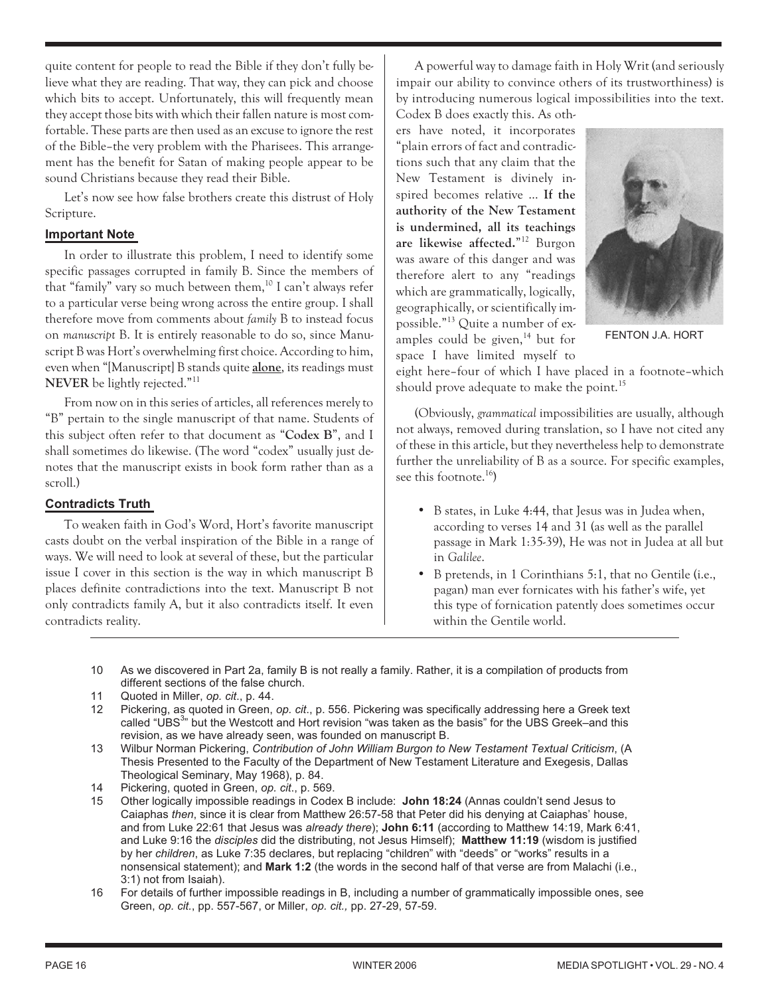quite content for people to read the Bible if they don't fully believe what they are reading. That way, they can pick and choose which bits to accept. Unfortunately, this will frequently mean they accept those bits with which their fallen nature is most comfortable. These parts are then used as an excuse to ignore the rest of the Bible–the very problem with the Pharisees. This arrangement has the benefit for Satan of making people appear to be sound Christians because they read their Bible.

Let's now see how false brothers create this distrust of Holy Scripture.

#### **Important Note**

In order to illustrate this problem, I need to identify some specific passages corrupted in family B. Since the members of that "family" vary so much between them, $^{10}$  I can't always refer to a particular verse being wrong across the entire group. I shall therefore move from comments about *family* B to instead focus on *manuscript* B. It is entirely reasonable to do so, since Manuscript B was Hort's overwhelming first choice. According to him, even when "[Manuscript] B stands quite **alone**, its readings must **NEVER** be lightly rejected."11

From now on in this series of articles, all references merely to "B" pertain to the single manuscript of that name. Students of this subject often refer to that document as "**Codex B**", and I shall sometimes do likewise. (The word "codex" usually just denotes that the manuscript exists in book form rather than as a scroll.)

# **Contradicts Truth**

To weaken faith in God's Word, Hort's favorite manuscript casts doubt on the verbal inspiration of the Bible in a range of ways. We will need to look at several of these, but the particular issue I cover in this section is the way in which manuscript B places definite contradictions into the text. Manuscript B not only contradicts family A, but it also contradicts itself. It even contradicts reality.

A powerful way to damage faith in Holy Writ (and seriously impair our ability to convince others of its trustworthiness) is by introducing numerous logical impossibilities into the text. Codex B does exactly this. As oth-

ers have noted, it incorporates "plain errors of fact and contradictions such that any claim that the New Testament is divinely inspired becomes relative … **If the authority of the New Testament is undermined, all its teachings are likewise affected.**"12 Burgon was aware of this danger and was therefore alert to any "readings which are grammatically, logically, geographically, or scientifically impossible."13 Quite a number of examples could be given, $14$  but for space I have limited myself to



FENTON J.A. HORT

eight here–four of which I have placed in a footnote–which should prove adequate to make the point.<sup>15</sup>

(Obviously, *grammatical* impossibilities are usually, although not always, removed during translation, so I have not cited any of these in this article, but they nevertheless help to demonstrate further the unreliability of B as a source. For specific examples, see this footnote. $^{16}$ )

- B states, in Luke 4:44, that Jesus was in Judea when, according to verses 14 and 31 (as well as the parallel passage in Mark 1:35-39), He was not in Judea at all but in *Galilee*.
- B pretends, in 1 Corinthians 5:1, that no Gentile (i.e., pagan) man ever fornicates with his father's wife, yet this type of fornication patently does sometimes occur within the Gentile world.
- 10 As we discovered in Part 2a, family B is not really a family. Rather, it is a compilation of products from different sections of the false church.
- 11 Quoted in Miller, *op. cit*., p. 44.
- 12 Pickering, as quoted in Green, *op. cit*., p. 556. Pickering was specifically addressing here a Greek text called "UBS<sup>3</sup>" but the Westcott and Hort revision "was taken as the basis" for the UBS Greek–and this revision, as we have already seen, was founded on manuscript B.
- 13 Wilbur Norman Pickering, *Contribution of John William Burgon to New Testament Textual Criticism*, (A Thesis Presented to the Faculty of the Department of New Testament Literature and Exegesis, Dallas Theological Seminary, May 1968), p. 84.
- 14 Pickering, quoted in Green, *op. cit*., p. 569.
- 15 Other logically impossible readings in Codex B include: **John 18:24** (Annas couldn't send Jesus to Caiaphas *then*, since it is clear from Matthew 26:57-58 that Peter did his denying at Caiaphas' house, and from Luke 22:61 that Jesus was *already there*); **John 6:11** (according to Matthew 14:19, Mark 6:41, and Luke 9:16 the *disciples* did the distributing, not Jesus Himself); **Matthew 11:19** (wisdom is justified by her *children*, as Luke 7:35 declares, but replacing "children" with "deeds" or "works" results in a nonsensical statement); and **Mark 1:2** (the words in the second half of that verse are from Malachi (i.e., 3:1) not from Isaiah).
- 16 For details of further impossible readings in B, including a number of grammatically impossible ones, see Green, *op. cit.*, pp. 557-567, or Miller, *op. cit.,* pp. 27-29, 57-59.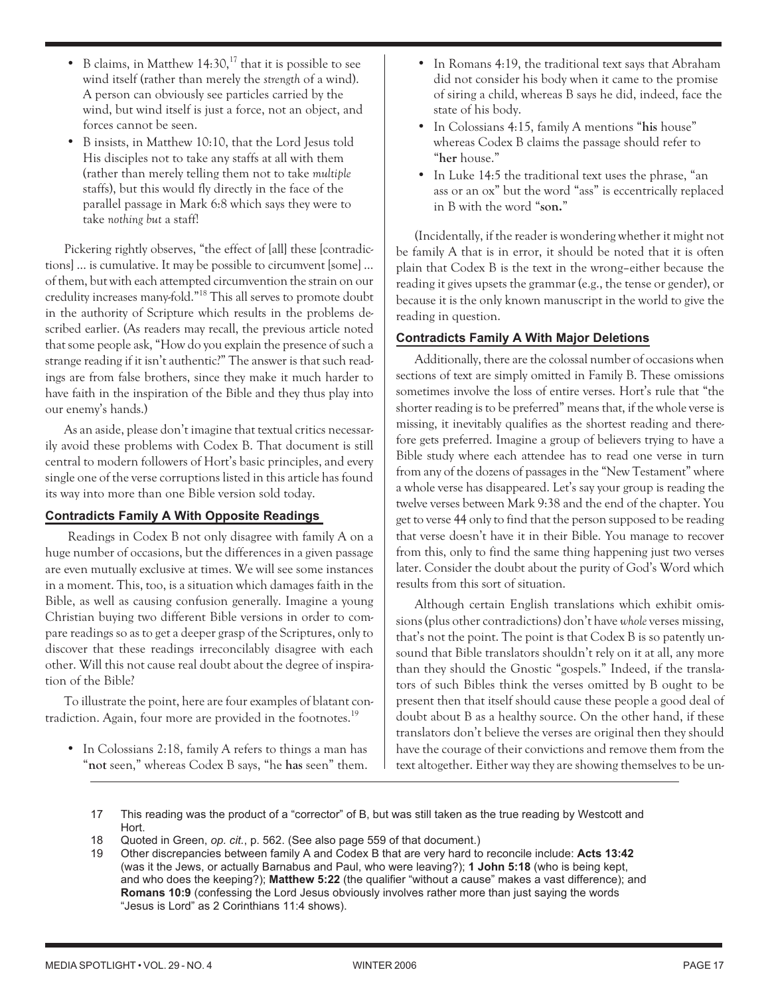$\bullet$  B claims, in Matthew 14:30,<sup>17</sup> that it is possible to see wind itself (rather than merely the *strength* of a wind). A person can obviously see particles carried by the wind, but wind itself is just a force, not an object, and forces cannot be seen.

•

 B insists, in Matthew 10:10, that the Lord Jesus told His disciples not to take any staffs at all with them (rather than merely telling them not to take *multiple* staffs), but this would fly directly in the face of the parallel passage in Mark 6:8 which says they were to take *nothing but* a staff!

Pickering rightly observes, "the effect of [all] these [contradictions] … is cumulative. It may be possible to circumvent [some] … of them, but with each attempted circumvention the strain on our credulity increases many-fold."18 This all serves to promote doubt in the authority of Scripture which results in the problems described earlier. (As readers may recall, the previous article noted that some people ask, "How do you explain the presence of such a strange reading if it isn't authentic?" The answer is that such readings are from false brothers, since they make it much harder to have faith in the inspiration of the Bible and they thus play into our enemy's hands.)

As an aside, please don't imagine that textual critics necessarily avoid these problems with Codex B. That document is still central to modern followers of Hort's basic principles, and every single one of the verse corruptions listed in this article has found its way into more than one Bible version sold today.

# **Contradicts Family A With Opposite Readings**

Readings in Codex B not only disagree with family A on a huge number of occasions, but the differences in a given passage are even mutually exclusive at times. We will see some instances in a moment. This, too, is a situation which damages faith in the Bible, as well as causing confusion generally. Imagine a young Christian buying two different Bible versions in order to compare readings so as to get a deeper grasp of the Scriptures, only to discover that these readings irreconcilably disagree with each other. Will this not cause real doubt about the degree of inspiration of the Bible?

To illustrate the point, here are four examples of blatant contradiction. Again, four more are provided in the footnotes.<sup>19</sup>

• In Colossians 2:18, family A refers to things a man has "**not** seen," whereas Codex B says, "he **has** seen" them.  In Romans 4:19, the traditional text says that Abraham did not consider his body when it came to the promise of siring a child, whereas B says he did, indeed, face the state of his body.

•

- In Colossians 4:15, family A mentions "**his** house" whereas Codex B claims the passage should refer to "**her** house."
- In Luke 14:5 the traditional text uses the phrase, "an ass or an ox" but the word "ass" is eccentrically replaced in B with the word "**son.**"

(Incidentally, if the reader is wondering whether it might not be family A that is in error, it should be noted that it is often plain that Codex B is the text in the wrong–either because the reading it gives upsets the grammar (e.g., the tense or gender), or because it is the only known manuscript in the world to give the reading in question.

# **Contradicts Family A With Major Deletions**

Additionally, there are the colossal number of occasions when sections of text are simply omitted in Family B. These omissions sometimes involve the loss of entire verses. Hort's rule that "the shorter reading is to be preferred" means that, if the whole verse is missing, it inevitably qualifies as the shortest reading and therefore gets preferred. Imagine a group of believers trying to have a Bible study where each attendee has to read one verse in turn from any of the dozens of passages in the "New Testament" where a whole verse has disappeared. Let's say your group is reading the twelve verses between Mark 9:38 and the end of the chapter. You get to verse 44 only to find that the person supposed to be reading that verse doesn't have it in their Bible. You manage to recover from this, only to find the same thing happening just two verses later. Consider the doubt about the purity of God's Word which results from this sort of situation.

Although certain English translations which exhibit omissions (plus other contradictions) don't have *whole* verses missing, that's not the point. The point is that Codex B is so patently unsound that Bible translators shouldn't rely on it at all, any more than they should the Gnostic "gospels." Indeed, if the translators of such Bibles think the verses omitted by B ought to be present then that itself should cause these people a good deal of doubt about B as a healthy source. On the other hand, if these translators don't believe the verses are original then they should have the courage of their convictions and remove them from the text altogether. Either way they are showing themselves to be un-

- 17 This reading was the product of a "corrector" of B, but was still taken as the true reading by Westcott and Hort.
- 18 Quoted in Green, *op. cit.*, p. 562. (See also page 559 of that document.)
- 19 Other discrepancies between family A and Codex B that are very hard to reconcile include: **Acts 13:42** (was it the Jews, or actually Barnabus and Paul, who were leaving?); **1 John 5:18** (who is being kept, and who does the keeping?); **Matthew 5:22** (the qualifier "without a cause" makes a vast difference); and **Romans 10:9** (confessing the Lord Jesus obviously involves rather more than just saying the words "Jesus is Lord" as 2 Corinthians 11:4 shows).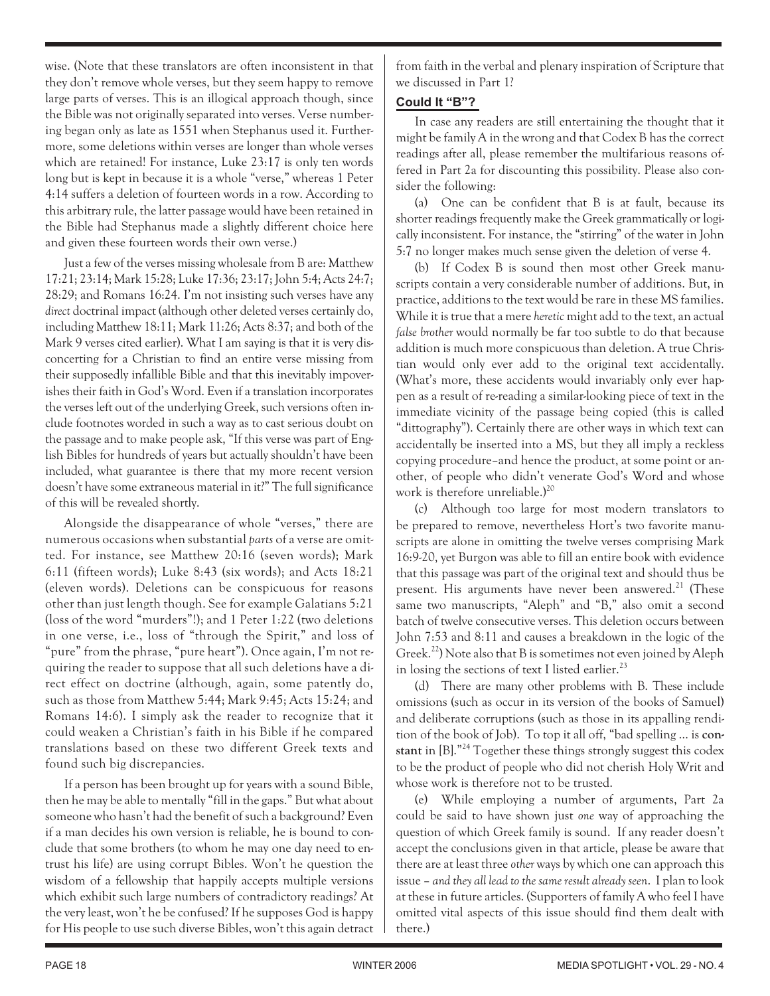wise. (Note that these translators are often inconsistent in that they don't remove whole verses, but they seem happy to remove large parts of verses. This is an illogical approach though, since the Bible was not originally separated into verses. Verse numbering began only as late as 1551 when Stephanus used it. Furthermore, some deletions within verses are longer than whole verses which are retained! For instance, Luke 23:17 is only ten words long but is kept in because it is a whole "verse," whereas 1 Peter 4:14 suffers a deletion of fourteen words in a row. According to this arbitrary rule, the latter passage would have been retained in the Bible had Stephanus made a slightly different choice here and given these fourteen words their own verse.)

Just a few of the verses missing wholesale from B are: Matthew 17:21; 23:14; Mark 15:28; Luke 17:36; 23:17; John 5:4; Acts 24:7; 28:29; and Romans 16:24. I'm not insisting such verses have any *direct* doctrinal impact (although other deleted verses certainly do, including Matthew 18:11; Mark 11:26; Acts 8:37; and both of the Mark 9 verses cited earlier). What I am saying is that it is very disconcerting for a Christian to find an entire verse missing from their supposedly infallible Bible and that this inevitably impoverishes their faith in God's Word. Even if a translation incorporates the verses left out of the underlying Greek, such versions often include footnotes worded in such a way as to cast serious doubt on the passage and to make people ask, "If this verse was part of English Bibles for hundreds of years but actually shouldn't have been included, what guarantee is there that my more recent version doesn't have some extraneous material in it?" The full significance of this will be revealed shortly.

Alongside the disappearance of whole "verses," there are numerous occasions when substantial *parts* of a verse are omitted. For instance, see Matthew 20:16 (seven words); Mark 6:11 (fifteen words); Luke 8:43 (six words); and Acts 18:21 (eleven words). Deletions can be conspicuous for reasons other than just length though. See for example Galatians 5:21 (loss of the word "murders"!); and 1 Peter 1:22 (two deletions in one verse, i.e., loss of "through the Spirit," and loss of "pure" from the phrase, "pure heart"). Once again, I'm not requiring the reader to suppose that all such deletions have a direct effect on doctrine (although, again, some patently do, such as those from Matthew 5:44; Mark 9:45; Acts 15:24; and Romans 14:6). I simply ask the reader to recognize that it could weaken a Christian's faith in his Bible if he compared translations based on these two different Greek texts and found such big discrepancies.

If a person has been brought up for years with a sound Bible, then he may be able to mentally "fill in the gaps." But what about someone who hasn't had the benefit of such a background? Even if a man decides his own version is reliable, he is bound to conclude that some brothers (to whom he may one day need to entrust his life) are using corrupt Bibles. Won't he question the wisdom of a fellowship that happily accepts multiple versions which exhibit such large numbers of contradictory readings? At the very least, won't he be confused? If he supposes God is happy for His people to use such diverse Bibles, won't this again detract from faith in the verbal and plenary inspiration of Scripture that we discussed in Part 1?

# **Could It "B"?**

In case any readers are still entertaining the thought that it might be family A in the wrong and that Codex B has the correct readings after all, please remember the multifarious reasons offered in Part 2a for discounting this possibility. Please also consider the following:

(a) One can be confident that B is at fault, because its shorter readings frequently make the Greek grammatically or logically inconsistent. For instance, the "stirring" of the water in John 5:7 no longer makes much sense given the deletion of verse 4.

(b) If Codex B is sound then most other Greek manuscripts contain a very considerable number of additions. But, in practice, additions to the text would be rare in these MS families. While it is true that a mere *heretic* might add to the text, an actual *false brother* would normally be far too subtle to do that because addition is much more conspicuous than deletion. A true Christian would only ever add to the original text accidentally. (What's more, these accidents would invariably only ever happen as a result of re-reading a similar-looking piece of text in the immediate vicinity of the passage being copied (this is called "dittography"). Certainly there are other ways in which text can accidentally be inserted into a MS, but they all imply a reckless copying procedure–and hence the product, at some point or another, of people who didn't venerate God's Word and whose work is therefore unreliable.)<sup>20</sup>

(c) Although too large for most modern translators to be prepared to remove, nevertheless Hort's two favorite manuscripts are alone in omitting the twelve verses comprising Mark 16:9-20, yet Burgon was able to fill an entire book with evidence that this passage was part of the original text and should thus be present. His arguments have never been answered.<sup>21</sup> (These same two manuscripts, "Aleph" and "B," also omit a second batch of twelve consecutive verses. This deletion occurs between John 7:53 and 8:11 and causes a breakdown in the logic of the Greek.<sup>22</sup>) Note also that B is sometimes not even joined by Aleph in losing the sections of text I listed earlier.<sup>23</sup>

(d) There are many other problems with B. These include omissions (such as occur in its version of the books of Samuel) and deliberate corruptions (such as those in its appalling rendition of the book of Job). To top it all off, "bad spelling … is **constant** in [B]."24 Together these things strongly suggest this codex to be the product of people who did not cherish Holy Writ and whose work is therefore not to be trusted.

(e) While employing a number of arguments, Part 2a could be said to have shown just *one* way of approaching the question of which Greek family is sound. If any reader doesn't accept the conclusions given in that article, please be aware that there are at least three *other* ways by which one can approach this issue – *and they all lead to the same result already seen*. I plan to look at these in future articles. (Supporters of family A who feel I have omitted vital aspects of this issue should find them dealt with there.)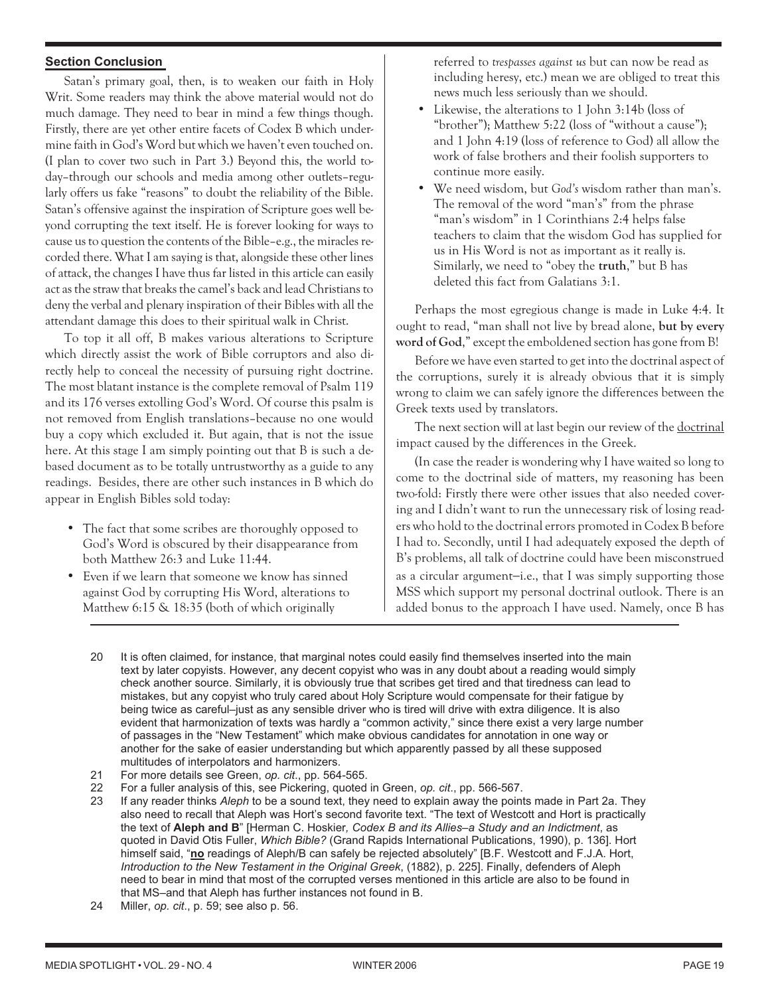# **Section Conclusion**

Satan's primary goal, then, is to weaken our faith in Holy Writ. Some readers may think the above material would not do much damage. They need to bear in mind a few things though. Firstly, there are yet other entire facets of Codex B which undermine faith in God's Word but which we haven't even touched on. (I plan to cover two such in Part 3.) Beyond this, the world today–through our schools and media among other outlets–regularly offers us fake "reasons" to doubt the reliability of the Bible. Satan's offensive against the inspiration of Scripture goes well beyond corrupting the text itself. He is forever looking for ways to cause us to question the contents of the Bible–e.g., the miracles recorded there. What I am saying is that, alongside these other lines of attack, the changes I have thus far listed in this article can easily act as the straw that breaks the camel's back and lead Christians to deny the verbal and plenary inspiration of their Bibles with all the attendant damage this does to their spiritual walk in Christ.

To top it all off, B makes various alterations to Scripture which directly assist the work of Bible corruptors and also directly help to conceal the necessity of pursuing right doctrine. The most blatant instance is the complete removal of Psalm 119 and its 176 verses extolling God's Word. Of course this psalm is not removed from English translations–because no one would buy a copy which excluded it. But again, that is not the issue here. At this stage I am simply pointing out that B is such a debased document as to be totally untrustworthy as a guide to any readings. Besides, there are other such instances in B which do appear in English Bibles sold today:

- The fact that some scribes are thoroughly opposed to God's Word is obscured by their disappearance from both Matthew 26:3 and Luke 11:44.
- Even if we learn that someone we know has sinned against God by corrupting His Word, alterations to Matthew 6:15 & 18:35 (both of which originally

referred to *trespasses against us* but can now be read as including heresy, etc.) mean we are obliged to treat this news much less seriously than we should.

- Likewise, the alterations to 1 John 3:14b (loss of "brother"); Matthew 5:22 (loss of "without a cause"); and 1 John 4:19 (loss of reference to God) all allow the work of false brothers and their foolish supporters to continue more easily.
- We need wisdom, but *God's* wisdom rather than man's. The removal of the word "man's" from the phrase "man's wisdom" in 1 Corinthians 2:4 helps false teachers to claim that the wisdom God has supplied for us in His Word is not as important as it really is. Similarly, we need to "obey the **truth**," but B has deleted this fact from Galatians 3:1.

Perhaps the most egregious change is made in Luke 4:4. It ought to read, "man shall not live by bread alone, **but by every word of God**," except the emboldened section has gone from B!

Before we have even started to get into the doctrinal aspect of the corruptions, surely it is already obvious that it is simply wrong to claim we can safely ignore the differences between the Greek texts used by translators.

The next section will at last begin our review of the doctrinal impact caused by the differences in the Greek.

(In case the reader is wondering why I have waited so long to come to the doctrinal side of matters, my reasoning has been two-fold: Firstly there were other issues that also needed covering and I didn't want to run the unnecessary risk of losing readers who hold to the doctrinal errors promoted in Codex B before I had to. Secondly, until I had adequately exposed the depth of B's problems, all talk of doctrine could have been misconstrued as a circular argument−i.e., that I was simply supporting those MSS which support my personal doctrinal outlook. There is an added bonus to the approach I have used. Namely, once B has

- 20 It is often claimed, for instance, that marginal notes could easily find themselves inserted into the main text by later copyists. However, any decent copyist who was in any doubt about a reading would simply check another source. Similarly, it is obviously true that scribes get tired and that tiredness can lead to mistakes, but any copyist who truly cared about Holy Scripture would compensate for their fatigue by being twice as careful–just as any sensible driver who is tired will drive with extra diligence. It is also evident that harmonization of texts was hardly a "common activity," since there exist a very large number of passages in the "New Testament" which make obvious candidates for annotation in one way or another for the sake of easier understanding but which apparently passed by all these supposed multitudes of interpolators and harmonizers.
- 21 For more details see Green, *op. cit*., pp. 564-565.
- 22 For a fuller analysis of this, see Pickering, quoted in Green, *op. cit*., pp. 566-567.
- 23 If any reader thinks *Aleph* to be a sound text, they need to explain away the points made in Part 2a. They also need to recall that Aleph was Hort's second favorite text. "The text of Westcott and Hort is practically the text of **Aleph and B**" [Herman C. Hoskier*, Codex B and its Allies–a Study and an Indictment*, as quoted in David Otis Fuller, *Which Bible?* (Grand Rapids International Publications, 1990), p. 136]. Hort himself said, "**no** readings of Aleph/B can safely be rejected absolutely" [B.F. Westcott and F.J.A. Hort, *Introduction to the New Testament in the Original Greek*, (1882), p. 225]. Finally, defenders of Aleph need to bear in mind that most of the corrupted verses mentioned in this article are also to be found in that MS–and that Aleph has further instances not found in B.
- 24 Miller, *op. cit*., p. 59; see also p. 56.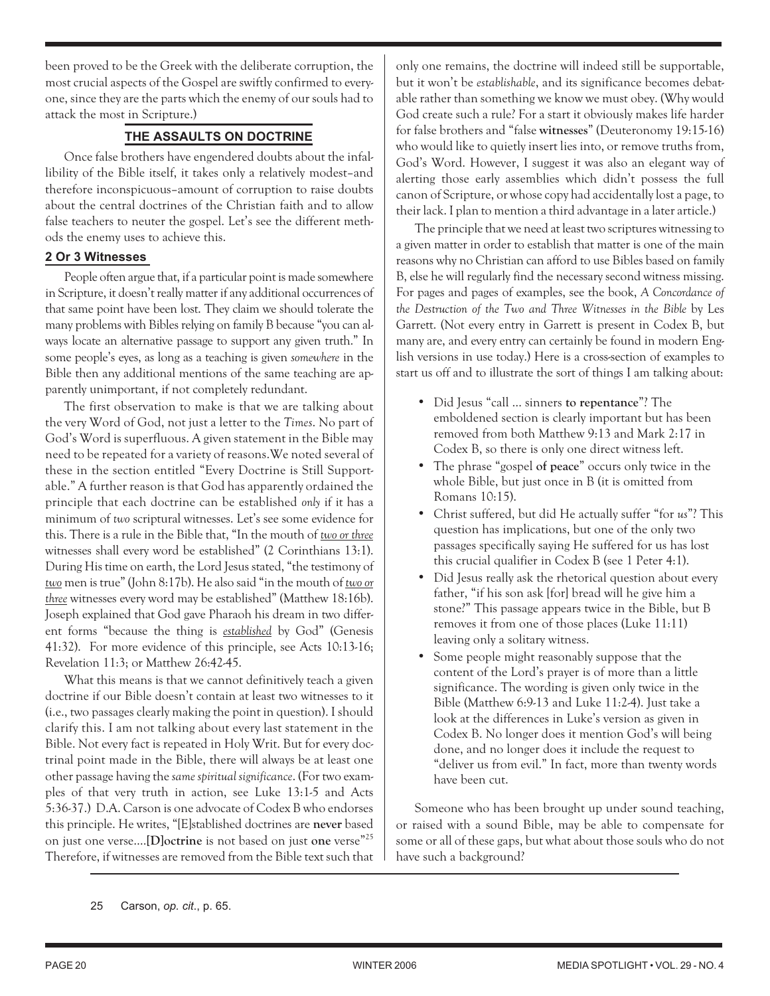been proved to be the Greek with the deliberate corruption, the most crucial aspects of the Gospel are swiftly confirmed to everyone, since they are the parts which the enemy of our souls had to attack the most in Scripture.)

# **THE ASSAULTS ON DOCTRINE**

Once false brothers have engendered doubts about the infallibility of the Bible itself, it takes only a relatively modest–and therefore inconspicuous–amount of corruption to raise doubts about the central doctrines of the Christian faith and to allow false teachers to neuter the gospel. Let's see the different methods the enemy uses to achieve this.

# **2 Or 3 Witnesses**

People often argue that, if a particular point is made somewhere in Scripture, it doesn't really matter if any additional occurrences of that same point have been lost. They claim we should tolerate the many problems with Bibles relying on family B because "you can always locate an alternative passage to support any given truth." In some people's eyes, as long as a teaching is given *somewhere* in the Bible then any additional mentions of the same teaching are apparently unimportant, if not completely redundant.

The first observation to make is that we are talking about the very Word of God, not just a letter to the *Times*. No part of God's Word is superfluous. A given statement in the Bible may need to be repeated for a variety of reasons.We noted several of these in the section entitled "Every Doctrine is Still Supportable." A further reason is that God has apparently ordained the principle that each doctrine can be established *only* if it has a minimum of *two* scriptural witnesses. Let's see some evidence for this. There is a rule in the Bible that, "In the mouth of *two or three* witnesses shall every word be established" (2 Corinthians 13:1). During His time on earth, the Lord Jesus stated, "the testimony of *two* men is true" (John 8:17b). He also said "in the mouth of *two or three* witnesses every word may be established" (Matthew 18:16b). Joseph explained that God gave Pharaoh his dream in two different forms "because the thing is *established* by God" (Genesis 41:32). For more evidence of this principle, see Acts 10:13-16; Revelation 11:3; or Matthew 26:42-45.

What this means is that we cannot definitively teach a given doctrine if our Bible doesn't contain at least two witnesses to it (i.e., two passages clearly making the point in question). I should clarify this. I am not talking about every last statement in the Bible. Not every fact is repeated in Holy Writ. But for every doctrinal point made in the Bible, there will always be at least one other passage having the *same spiritual significance*. (For two examples of that very truth in action, see Luke 13:1-5 and Acts 5:36-37.) D.A. Carson is one advocate of Codex B who endorses this principle. He writes, "[E]stablished doctrines are **never** based on just one verse.…**[D]octrine** is not based on just **one** verse"25 Therefore, if witnesses are removed from the Bible text such that only one remains, the doctrine will indeed still be supportable, but it won't be *establishable*, and its significance becomes debatable rather than something we know we must obey. (Why would God create such a rule? For a start it obviously makes life harder for false brothers and "false **witnesses**" (Deuteronomy 19:15-16) who would like to quietly insert lies into, or remove truths from, God's Word. However, I suggest it was also an elegant way of alerting those early assemblies which didn't possess the full canon of Scripture, or whose copy had accidentally lost a page, to their lack. I plan to mention a third advantage in a later article.)

The principle that we need at least two scriptures witnessing to a given matter in order to establish that matter is one of the main reasons why no Christian can afford to use Bibles based on family B, else he will regularly find the necessary second witness missing. For pages and pages of examples, see the book, *A Concordance of the Destruction of the Two and Three Witnesses in the Bible* by Les Garrett. (Not every entry in Garrett is present in Codex B, but many are, and every entry can certainly be found in modern English versions in use today.) Here is a cross-section of examples to start us off and to illustrate the sort of things I am talking about:

- Did Jesus "call … sinners **to repentance**"? The emboldened section is clearly important but has been removed from both Matthew 9:13 and Mark 2:17 in Codex B, so there is only one direct witness left.
- The phrase "gospel **of peace**" occurs only twice in the whole Bible, but just once in B (it is omitted from Romans 10:15).
- Christ suffered, but did He actually suffer "for *us*"? This question has implications, but one of the only two passages specifically saying He suffered for us has lost this crucial qualifier in Codex B (see 1 Peter 4:1).
- Did Jesus really ask the rhetorical question about every father, "if his son ask [for] bread will he give him a stone?" This passage appears twice in the Bible, but B removes it from one of those places (Luke 11:11) leaving only a solitary witness.
- Some people might reasonably suppose that the content of the Lord's prayer is of more than a little significance. The wording is given only twice in the Bible (Matthew 6:9-13 and Luke 11:2-4). Just take a look at the differences in Luke's version as given in Codex B. No longer does it mention God's will being done, and no longer does it include the request to "deliver us from evil." In fact, more than twenty words have been cut.

Someone who has been brought up under sound teaching, or raised with a sound Bible, may be able to compensate for some or all of these gaps, but what about those souls who do not have such a background?

25 Carson, *op. cit*., p. 65.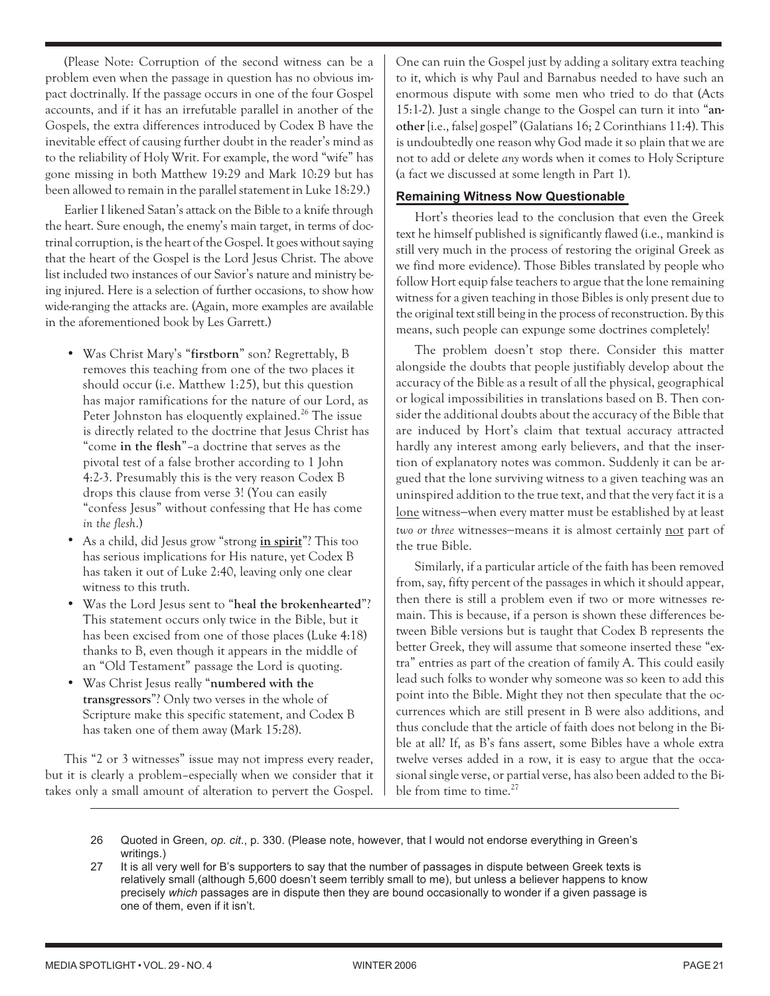(Please Note: Corruption of the second witness can be a problem even when the passage in question has no obvious impact doctrinally. If the passage occurs in one of the four Gospel accounts, and if it has an irrefutable parallel in another of the Gospels, the extra differences introduced by Codex B have the inevitable effect of causing further doubt in the reader's mind as to the reliability of Holy Writ. For example, the word "wife" has gone missing in both Matthew 19:29 and Mark 10:29 but has been allowed to remain in the parallel statement in Luke 18:29.)

Earlier I likened Satan's attack on the Bible to a knife through the heart. Sure enough, the enemy's main target, in terms of doctrinal corruption, is the heart of the Gospel. It goes without saying that the heart of the Gospel is the Lord Jesus Christ. The above list included two instances of our Savior's nature and ministry being injured. Here is a selection of further occasions, to show how wide-ranging the attacks are. (Again, more examples are available in the aforementioned book by Les Garrett.)

- Was Christ Mary's "**firstborn**" son? Regrettably, B removes this teaching from one of the two places it should occur (i.e. Matthew 1:25), but this question has major ramifications for the nature of our Lord, as Peter Johnston has eloquently explained.<sup>26</sup> The issue is directly related to the doctrine that Jesus Christ has "come **in the flesh**"–a doctrine that serves as the pivotal test of a false brother according to 1 John 4:2-3. Presumably this is the very reason Codex B drops this clause from verse 3! (You can easily "confess Jesus" without confessing that He has come *in the flesh*.)
- As a child, did Jesus grow "strong **in spirit**"? This too has serious implications for His nature, yet Codex B has taken it out of Luke 2:40, leaving only one clear witness to this truth.
- Was the Lord Jesus sent to "**heal the brokenhearted**"? This statement occurs only twice in the Bible, but it has been excised from one of those places (Luke 4:18) thanks to B, even though it appears in the middle of an "Old Testament" passage the Lord is quoting.
- Was Christ Jesus really "**numbered with the transgressors**"? Only two verses in the whole of Scripture make this specific statement, and Codex B has taken one of them away (Mark 15:28).

This "2 or 3 witnesses" issue may not impress every reader, but it is clearly a problem–especially when we consider that it takes only a small amount of alteration to pervert the Gospel. One can ruin the Gospel just by adding a solitary extra teaching to it, which is why Paul and Barnabus needed to have such an enormous dispute with some men who tried to do that (Acts 15:1-2). Just a single change to the Gospel can turn it into "**another**[i.e., false] gospel" (Galatians 16; 2 Corinthians 11:4). This is undoubtedly one reason why God made it so plain that we are not to add or delete *any* words when it comes to Holy Scripture (a fact we discussed at some length in Part 1).

# **Remaining Witness Now Questionable**

Hort's theories lead to the conclusion that even the Greek text he himself published is significantly flawed (i.e., mankind is still very much in the process of restoring the original Greek as we find more evidence). Those Bibles translated by people who follow Hort equip false teachers to argue that the lone remaining witness for a given teaching in those Bibles is only present due to the original text still being in the process of reconstruction. By this means, such people can expunge some doctrines completely!

The problem doesn't stop there. Consider this matter alongside the doubts that people justifiably develop about the accuracy of the Bible as a result of all the physical, geographical or logical impossibilities in translations based on B. Then consider the additional doubts about the accuracy of the Bible that are induced by Hort's claim that textual accuracy attracted hardly any interest among early believers, and that the insertion of explanatory notes was common. Suddenly it can be argued that the lone surviving witness to a given teaching was an uninspired addition to the true text, and that the very fact it is a lone witness−when every matter must be established by at least *two or three* witnesses−means it is almost certainly not part of the true Bible.

Similarly, if a particular article of the faith has been removed from, say, fifty percent of the passages in which it should appear, then there is still a problem even if two or more witnesses remain. This is because, if a person is shown these differences between Bible versions but is taught that Codex B represents the better Greek, they will assume that someone inserted these "extra" entries as part of the creation of family A. This could easily lead such folks to wonder why someone was so keen to add this point into the Bible. Might they not then speculate that the occurrences which are still present in B were also additions, and thus conclude that the article of faith does not belong in the Bible at all? If, as B's fans assert, some Bibles have a whole extra twelve verses added in a row, it is easy to argue that the occasional single verse, or partial verse, has also been added to the Bible from time to time. $27$ 

- 26 Quoted in Green, *op. cit*., p. 330. (Please note, however, that I would not endorse everything in Green's writings.)
- 27 It is all very well for B's supporters to say that the number of passages in dispute between Greek texts is relatively small (although 5,600 doesn't seem terribly small to me), but unless a believer happens to know precisely *which* passages are in dispute then they are bound occasionally to wonder if a given passage is one of them, even if it isn't.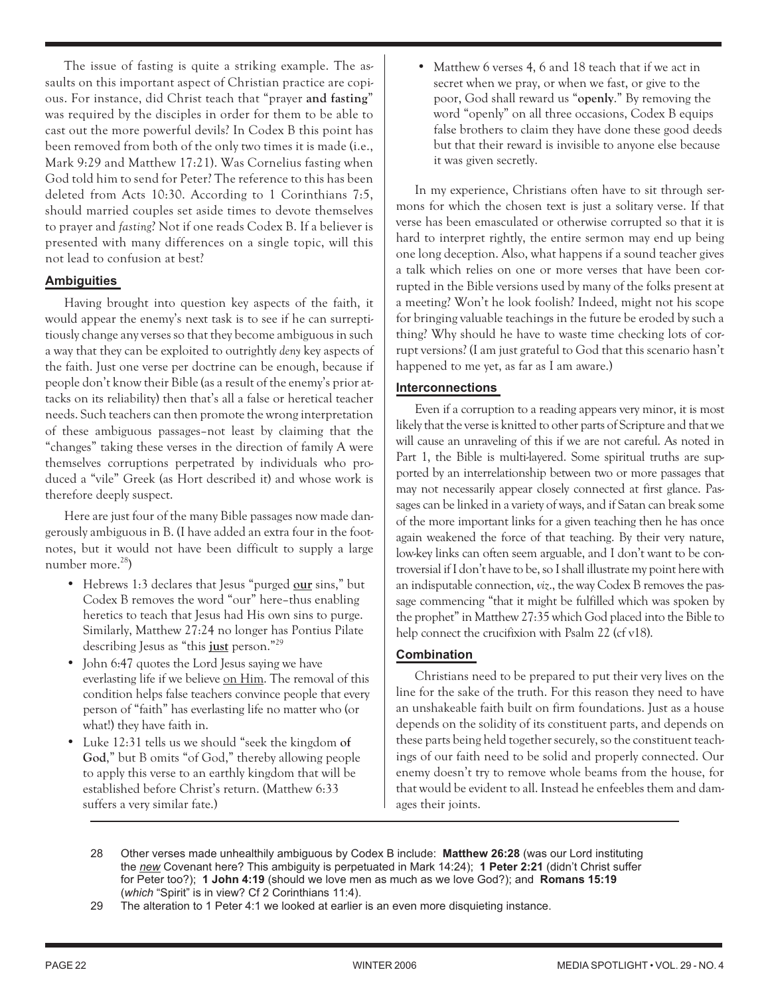The issue of fasting is quite a striking example. The assaults on this important aspect of Christian practice are copious. For instance, did Christ teach that "prayer **and fasting**" was required by the disciples in order for them to be able to cast out the more powerful devils? In Codex B this point has been removed from both of the only two times it is made (i.e., Mark 9:29 and Matthew 17:21). Was Cornelius fasting when God told him to send for Peter? The reference to this has been deleted from Acts 10:30. According to 1 Corinthians 7:5, should married couples set aside times to devote themselves to prayer and *fasting*? Not if one reads Codex B. If a believer is presented with many differences on a single topic, will this not lead to confusion at best?

# **Ambiguities**

Having brought into question key aspects of the faith, it would appear the enemy's next task is to see if he can surreptitiously change any verses so that they become ambiguous in such a way that they can be exploited to outrightly *deny* key aspects of the faith. Just one verse per doctrine can be enough, because if people don't know their Bible (as a result of the enemy's prior attacks on its reliability) then that's all a false or heretical teacher needs. Such teachers can then promote the wrong interpretation of these ambiguous passages–not least by claiming that the "changes" taking these verses in the direction of family A were themselves corruptions perpetrated by individuals who produced a "vile" Greek (as Hort described it) and whose work is therefore deeply suspect.

Here are just four of the many Bible passages now made dangerously ambiguous in B. (I have added an extra four in the footnotes, but it would not have been difficult to supply a large number more.<sup>28</sup>)

- Hebrews 1:3 declares that Jesus "purged **our** sins," but Codex B removes the word "our" here–thus enabling heretics to teach that Jesus had His own sins to purge. Similarly, Matthew 27:24 no longer has Pontius Pilate describing Jesus as "this **just** person."29
- John 6:47 quotes the Lord Jesus saying we have everlasting life if we believe on Him. The removal of this condition helps false teachers convince people that every person of "faith" has everlasting life no matter who (or what!) they have faith in.
- Luke 12:31 tells us we should "seek the kingdom **of God**," but B omits "of God," thereby allowing people to apply this verse to an earthly kingdom that will be established before Christ's return. (Matthew 6:33 suffers a very similar fate.)

• Matthew 6 verses 4, 6 and 18 teach that if we act in secret when we pray, or when we fast, or give to the poor, God shall reward us "**openly**." By removing the word "openly" on all three occasions, Codex B equips false brothers to claim they have done these good deeds but that their reward is invisible to anyone else because it was given secretly.

In my experience, Christians often have to sit through sermons for which the chosen text is just a solitary verse. If that verse has been emasculated or otherwise corrupted so that it is hard to interpret rightly, the entire sermon may end up being one long deception. Also, what happens if a sound teacher gives a talk which relies on one or more verses that have been corrupted in the Bible versions used by many of the folks present at a meeting? Won't he look foolish? Indeed, might not his scope for bringing valuable teachings in the future be eroded by such a thing? Why should he have to waste time checking lots of corrupt versions? (I am just grateful to God that this scenario hasn't happened to me yet, as far as I am aware.)

# **Interconnections**

•

Even if a corruption to a reading appears very minor, it is most likely that the verse is knitted to other parts of Scripture and that we will cause an unraveling of this if we are not careful. As noted in Part 1, the Bible is multi-layered. Some spiritual truths are supported by an interrelationship between two or more passages that may not necessarily appear closely connected at first glance. Passages can be linked in a variety of ways, and if Satan can break some of the more important links for a given teaching then he has once again weakened the force of that teaching. By their very nature, low-key links can often seem arguable, and I don't want to be controversial if I don't have to be, so I shall illustrate my point here with an indisputable connection,*viz*., the way Codex B removes the passage commencing "that it might be fulfilled which was spoken by the prophet" in Matthew 27:35 which God placed into the Bible to help connect the crucifixion with Psalm 22 (cf v18).

# **Combination**

Christians need to be prepared to put their very lives on the line for the sake of the truth. For this reason they need to have an unshakeable faith built on firm foundations. Just as a house depends on the solidity of its constituent parts, and depends on these parts being held together securely, so the constituent teachings of our faith need to be solid and properly connected. Our enemy doesn't try to remove whole beams from the house, for that would be evident to all. Instead he enfeebles them and damages their joints.

- 28 Other verses made unhealthily ambiguous by Codex B include: **Matthew 26:28** (was our Lord instituting the *new* Covenant here? This ambiguity is perpetuated in Mark 14:24); **1 Peter 2:21** (didn't Christ suffer for Peter too?); **1 John 4:19** (should we love men as much as we love God?); and **Romans 15:19** (*which* "Spirit" is in view? Cf 2 Corinthians 11:4).
- 29 The alteration to 1 Peter 4:1 we looked at earlier is an even more disquieting instance.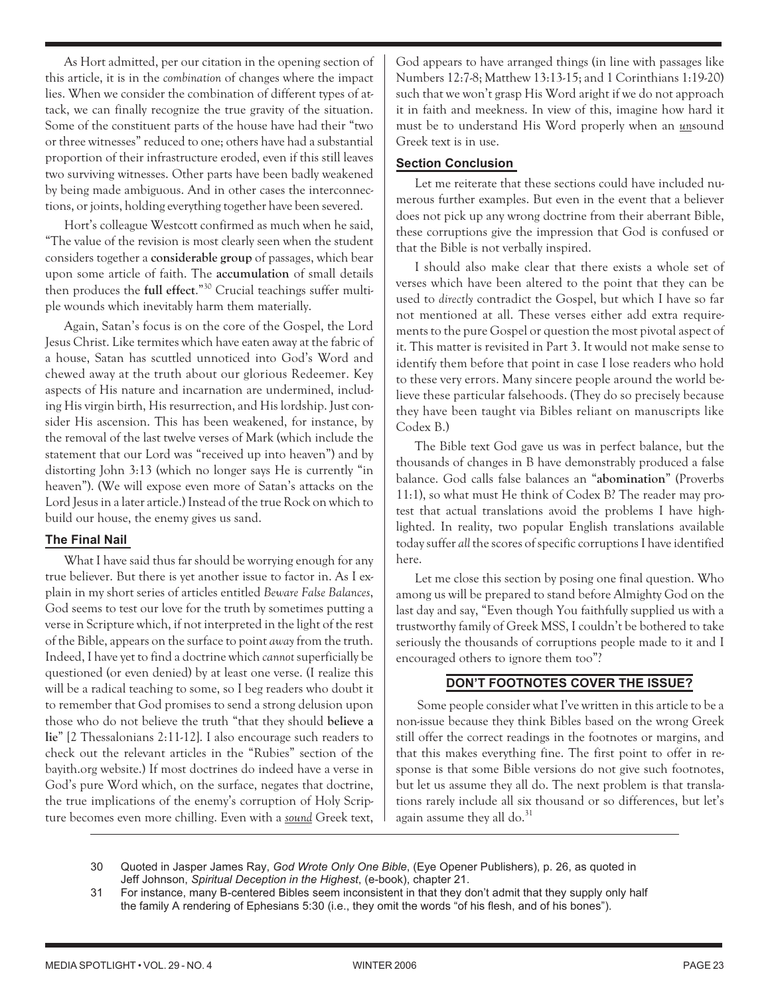As Hort admitted, per our citation in the opening section of this article, it is in the *combination* of changes where the impact lies. When we consider the combination of different types of attack, we can finally recognize the true gravity of the situation. Some of the constituent parts of the house have had their "two or three witnesses" reduced to one; others have had a substantial proportion of their infrastructure eroded, even if this still leaves two surviving witnesses. Other parts have been badly weakened by being made ambiguous. And in other cases the interconnections, or joints, holding everything together have been severed.

Hort's colleague Westcott confirmed as much when he said, "The value of the revision is most clearly seen when the student considers together a **considerable group** of passages, which bear upon some article of faith. The **accumulation** of small details then produces the **full effect**."30 Crucial teachings suffer multiple wounds which inevitably harm them materially.

Again, Satan's focus is on the core of the Gospel, the Lord Jesus Christ. Like termites which have eaten away at the fabric of a house, Satan has scuttled unnoticed into God's Word and chewed away at the truth about our glorious Redeemer. Key aspects of His nature and incarnation are undermined, including His virgin birth, His resurrection, and His lordship. Just consider His ascension. This has been weakened, for instance, by the removal of the last twelve verses of Mark (which include the statement that our Lord was "received up into heaven") and by distorting John 3:13 (which no longer says He is currently "in heaven"). (We will expose even more of Satan's attacks on the Lord Jesus in a later article.) Instead of the true Rock on which to build our house, the enemy gives us sand.

# **The Final Nail**

What I have said thus far should be worrying enough for any true believer. But there is yet another issue to factor in. As I explain in my short series of articles entitled *Beware False Balances*, God seems to test our love for the truth by sometimes putting a verse in Scripture which, if not interpreted in the light of the rest of the Bible, appears on the surface to point *away* from the truth. Indeed, I have yet to find a doctrine which *cannot* superficially be questioned (or even denied) by at least one verse. (I realize this will be a radical teaching to some, so I beg readers who doubt it to remember that God promises to send a strong delusion upon those who do not believe the truth "that they should **believe a lie**" [2 Thessalonians 2:11-12]. I also encourage such readers to check out the relevant articles in the "Rubies" section of the bayith.org website.) If most doctrines do indeed have a verse in God's pure Word which, on the surface, negates that doctrine, the true implications of the enemy's corruption of Holy Scripture becomes even more chilling. Even with a *sound* Greek text, God appears to have arranged things (in line with passages like Numbers 12:7-8; Matthew 13:13-15; and 1 Corinthians 1:19-20) such that we won't grasp His Word aright if we do not approach it in faith and meekness. In view of this, imagine how hard it must be to understand His Word properly when an *un*sound Greek text is in use.

#### **Section Conclusion**

Let me reiterate that these sections could have included numerous further examples. But even in the event that a believer does not pick up any wrong doctrine from their aberrant Bible, these corruptions give the impression that God is confused or that the Bible is not verbally inspired.

I should also make clear that there exists a whole set of verses which have been altered to the point that they can be used to *directly* contradict the Gospel, but which I have so far not mentioned at all. These verses either add extra requirements to the pure Gospel or question the most pivotal aspect of it. This matter is revisited in Part 3. It would not make sense to identify them before that point in case I lose readers who hold to these very errors. Many sincere people around the world believe these particular falsehoods. (They do so precisely because they have been taught via Bibles reliant on manuscripts like Codex B.)

The Bible text God gave us was in perfect balance, but the thousands of changes in B have demonstrably produced a false balance. God calls false balances an "**abomination**" (Proverbs 11:1), so what must He think of Codex B? The reader may protest that actual translations avoid the problems I have highlighted. In reality, two popular English translations available today suffer *all* the scores of specific corruptions I have identified here.

Let me close this section by posing one final question. Who among us will be prepared to stand before Almighty God on the last day and say, "Even though You faithfully supplied us with a trustworthy family of Greek MSS, I couldn't be bothered to take seriously the thousands of corruptions people made to it and I encouraged others to ignore them too"?

# **DON'T FOOTNOTES COVER THE ISSUE?**

Some people consider what I've written in this article to be a non-issue because they think Bibles based on the wrong Greek still offer the correct readings in the footnotes or margins, and that this makes everything fine. The first point to offer in response is that some Bible versions do not give such footnotes, but let us assume they all do. The next problem is that translations rarely include all six thousand or so differences, but let's again assume they all  $do.^{31}$ 

<sup>30</sup> Quoted in Jasper James Ray, *God Wrote Only One Bible*, (Eye Opener Publishers), p. 26, as quoted in Jeff Johnson, *Spiritual Deception in the Highest*, (e-book), chapter 21.

<sup>31</sup> For instance, many B-centered Bibles seem inconsistent in that they don't admit that they supply only half the family A rendering of Ephesians 5:30 (i.e., they omit the words "of his flesh, and of his bones").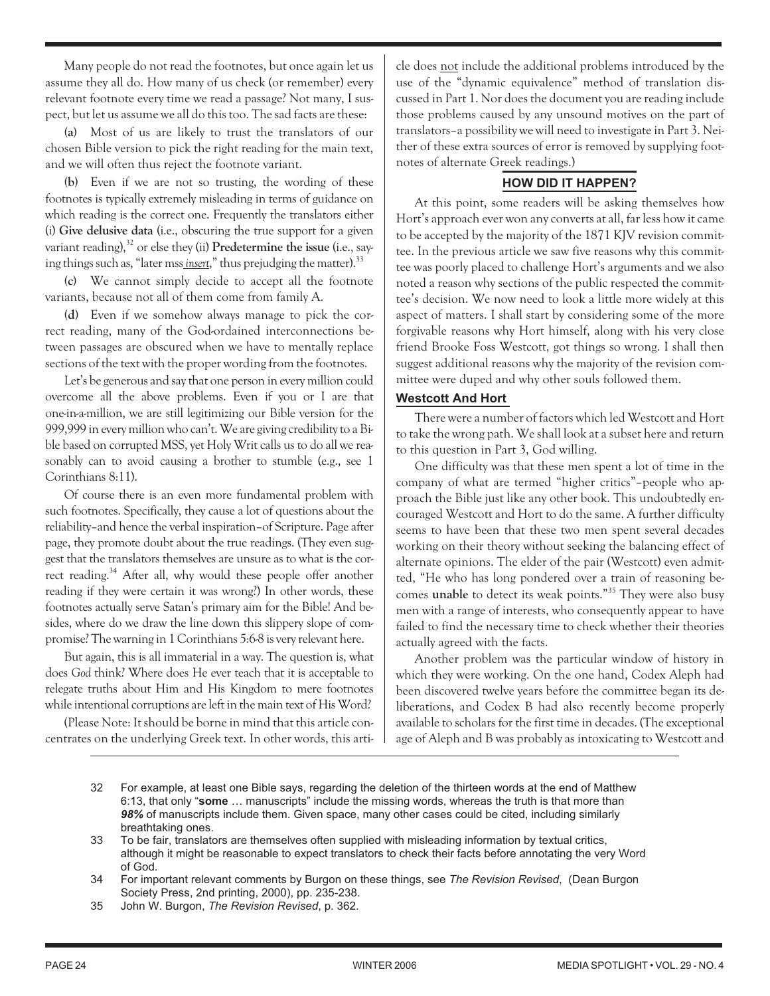Many people do not read the footnotes, but once again let us assume they all do. How many of us check (or remember) every relevant footnote every time we read a passage? Not many, I suspect, but let us assume we all do this too. The sad facts are these:

**(a)** Most of us are likely to trust the translators of our chosen Bible version to pick the right reading for the main text, and we will often thus reject the footnote variant.

**(b)** Even if we are not so trusting, the wording of these footnotes is typically extremely misleading in terms of guidance on which reading is the correct one. Frequently the translators either (i) **Give delusive data** (i.e., obscuring the true support for a given variant reading),<sup>32</sup> or else they (ii) Predetermine the issue (i.e., saying things such as, "later mss *insert*," thus prejudging the matter).<sup>33</sup>

**(c)** We cannot simply decide to accept all the footnote variants, because not all of them come from family A.

**(d)** Even if we somehow always manage to pick the correct reading, many of the God-ordained interconnections between passages are obscured when we have to mentally replace sections of the text with the proper wording from the footnotes.

Let's be generous and say that one person in every million could overcome all the above problems. Even if you or I are that one-in-a-million, we are still legitimizing our Bible version for the 999,999 in every million who can't. We are giving credibility to a Bible based on corrupted MSS, yet Holy Writ calls us to do all we reasonably can to avoid causing a brother to stumble (e.g., see 1) Corinthians 8:11).

Of course there is an even more fundamental problem with such footnotes. Specifically, they cause a lot of questions about the reliability–and hence the verbal inspiration–of Scripture. Page after page, they promote doubt about the true readings. (They even suggest that the translators themselves are unsure as to what is the correct reading.<sup>34</sup> After all, why would these people offer another reading if they were certain it was wrong?) In other words, these footnotes actually serve Satan's primary aim for the Bible! And besides, where do we draw the line down this slippery slope of compromise? The warning in 1 Corinthians 5:6-8 is very relevant here.

But again, this is all immaterial in a way. The question is, what does *God* think? Where does He ever teach that it is acceptable to relegate truths about Him and His Kingdom to mere footnotes while intentional corruptions are left in the main text of His Word?

(Please Note: It should be borne in mind that this article concentrates on the underlying Greek text. In other words, this article does not include the additional problems introduced by the use of the "dynamic equivalence" method of translation discussed in Part 1. Nor does the document you are reading include those problems caused by any unsound motives on the part of translators–a possibility we will need to investigate in Part 3. Neither of these extra sources of error is removed by supplying footnotes of alternate Greek readings.)

# **HOW DID IT HAPPEN?**

At this point, some readers will be asking themselves how Hort's approach ever won any converts at all, far less how it came to be accepted by the majority of the 1871 KJV revision committee. In the previous article we saw five reasons why this committee was poorly placed to challenge Hort's arguments and we also noted a reason why sections of the public respected the committee's decision. We now need to look a little more widely at this aspect of matters. I shall start by considering some of the more forgivable reasons why Hort himself, along with his very close friend Brooke Foss Westcott, got things so wrong. I shall then suggest additional reasons why the majority of the revision committee were duped and why other souls followed them.

# **Westcott And Hort**

There were a number of factors which led Westcott and Hort to take the wrong path. We shall look at a subset here and return to this question in Part 3, God willing.

One difficulty was that these men spent a lot of time in the company of what are termed "higher critics"–people who approach the Bible just like any other book. This undoubtedly encouraged Westcott and Hort to do the same. A further difficulty seems to have been that these two men spent several decades working on their theory without seeking the balancing effect of alternate opinions. The elder of the pair (Westcott) even admitted, "He who has long pondered over a train of reasoning becomes **unable** to detect its weak points."35 They were also busy men with a range of interests, who consequently appear to have failed to find the necessary time to check whether their theories actually agreed with the facts.

Another problem was the particular window of history in which they were working. On the one hand, Codex Aleph had been discovered twelve years before the committee began its deliberations, and Codex B had also recently become properly available to scholars for the first time in decades. (The exceptional age of Aleph and B was probably as intoxicating to Westcott and

- 32 For example, at least one Bible says, regarding the deletion of the thirteen words at the end of Matthew 6:13, that only "**some** … manuscripts" include the missing words, whereas the truth is that more than *98%* of manuscripts include them. Given space, many other cases could be cited, including similarly breathtaking ones.
- 33 To be fair, translators are themselves often supplied with misleading information by textual critics, although it might be reasonable to expect translators to check their facts before annotating the very Word of God.
- 34 For important relevant comments by Burgon on these things, see *The Revision Revised*, (Dean Burgon Society Press, 2nd printing, 2000), pp. 235-238.
- 35 John W. Burgon, *The Revision Revised*, p. 362.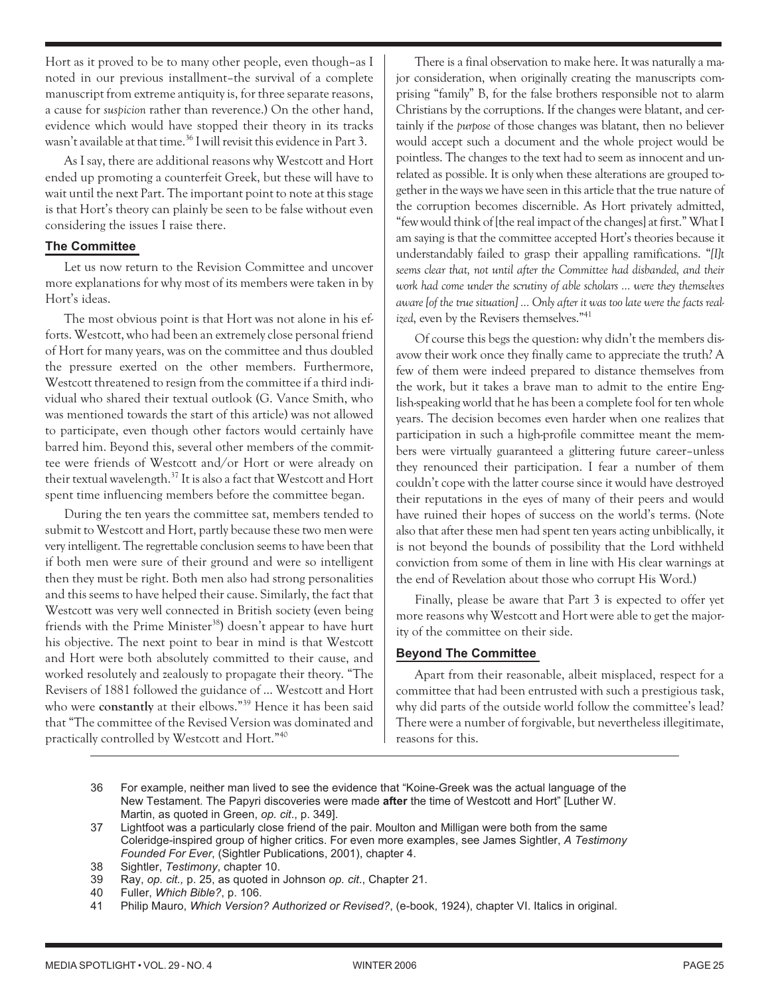Hort as it proved to be to many other people, even though–as I noted in our previous installment–the survival of a complete manuscript from extreme antiquity is, for three separate reasons, a cause for *suspicion* rather than reverence.) On the other hand, evidence which would have stopped their theory in its tracks wasn't available at that time.<sup>36</sup> I will revisit this evidence in Part 3.

As I say, there are additional reasons why Westcott and Hort ended up promoting a counterfeit Greek, but these will have to wait until the next Part. The important point to note at this stage is that Hort's theory can plainly be seen to be false without even considering the issues I raise there.

#### **The Committee**

Let us now return to the Revision Committee and uncover more explanations for why most of its members were taken in by Hort's ideas.

The most obvious point is that Hort was not alone in his efforts. Westcott, who had been an extremely close personal friend of Hort for many years, was on the committee and thus doubled the pressure exerted on the other members. Furthermore, Westcott threatened to resign from the committee if a third individual who shared their textual outlook (G. Vance Smith, who was mentioned towards the start of this article) was not allowed to participate, even though other factors would certainly have barred him. Beyond this, several other members of the committee were friends of Westcott and/or Hort or were already on their textual wavelength. $^{37}$  It is also a fact that Westcott and Hort spent time influencing members before the committee began.

During the ten years the committee sat, members tended to submit to Westcott and Hort, partly because these two men were very intelligent. The regrettable conclusion seems to have been that if both men were sure of their ground and were so intelligent then they must be right. Both men also had strong personalities and this seems to have helped their cause. Similarly, the fact that Westcott was very well connected in British society (even being friends with the Prime Minister<sup>38</sup>) doesn't appear to have hurt his objective. The next point to bear in mind is that Westcott and Hort were both absolutely committed to their cause, and worked resolutely and zealously to propagate their theory. "The Revisers of 1881 followed the guidance of … Westcott and Hort who were **constantly** at their elbows."39 Hence it has been said that "The committee of the Revised Version was dominated and practically controlled by Westcott and Hort."40

There is a final observation to make here. It was naturally a major consideration, when originally creating the manuscripts comprising "family" B, for the false brothers responsible not to alarm Christians by the corruptions. If the changes were blatant, and certainly if the *purpose* of those changes was blatant, then no believer would accept such a document and the whole project would be pointless. The changes to the text had to seem as innocent and unrelated as possible. It is only when these alterations are grouped together in the ways we have seen in this article that the true nature of the corruption becomes discernible. As Hort privately admitted, "few would think of [the real impact of the changes] at first." What I am saying is that the committee accepted Hort's theories because it understandably failed to grasp their appalling ramifications. "*[I]t seems clear that, not until after the Committee had disbanded, and their work had come under the scrutiny of able scholars … were they themselves aware [of the true situation] … Only after it was too late were the facts realized*, even by the Revisers themselves."41

Of course this begs the question: why didn't the members disavow their work once they finally came to appreciate the truth? A few of them were indeed prepared to distance themselves from the work, but it takes a brave man to admit to the entire English-speaking world that he has been a complete fool for ten whole years. The decision becomes even harder when one realizes that participation in such a high-profile committee meant the members were virtually guaranteed a glittering future career–unless they renounced their participation. I fear a number of them couldn't cope with the latter course since it would have destroyed their reputations in the eyes of many of their peers and would have ruined their hopes of success on the world's terms. (Note also that after these men had spent ten years acting unbiblically, it is not beyond the bounds of possibility that the Lord withheld conviction from some of them in line with His clear warnings at the end of Revelation about those who corrupt His Word.)

Finally, please be aware that Part 3 is expected to offer yet more reasons why Westcott and Hort were able to get the majority of the committee on their side.

# **Beyond The Committee**

Apart from their reasonable, albeit misplaced, respect for a committee that had been entrusted with such a prestigious task, why did parts of the outside world follow the committee's lead? There were a number of forgivable, but nevertheless illegitimate, reasons for this.

- 36 For example, neither man lived to see the evidence that "Koine-Greek was the actual language of the New Testament. The Papyri discoveries were made **after** the time of Westcott and Hort" [Luther W. Martin, as quoted in Green, *op. cit*., p. 349].
- 37 Lightfoot was a particularly close friend of the pair. Moulton and Milligan were both from the same Coleridge-inspired group of higher critics. For even more examples, see James Sightler, *A Testimony Founded For Ever*, (Sightler Publications, 2001), chapter 4.
- 38 Sightler, *Testimony*, chapter 10.
- 39 Ray, *op. cit.,* p. 25, as quoted in Johnson *op. cit*., Chapter 21.
- 40 Fuller, *Which Bible?*, p. 106.
- 41 Philip Mauro, *Which Version? Authorized or Revised?*, (e-book, 1924), chapter VI. Italics in original.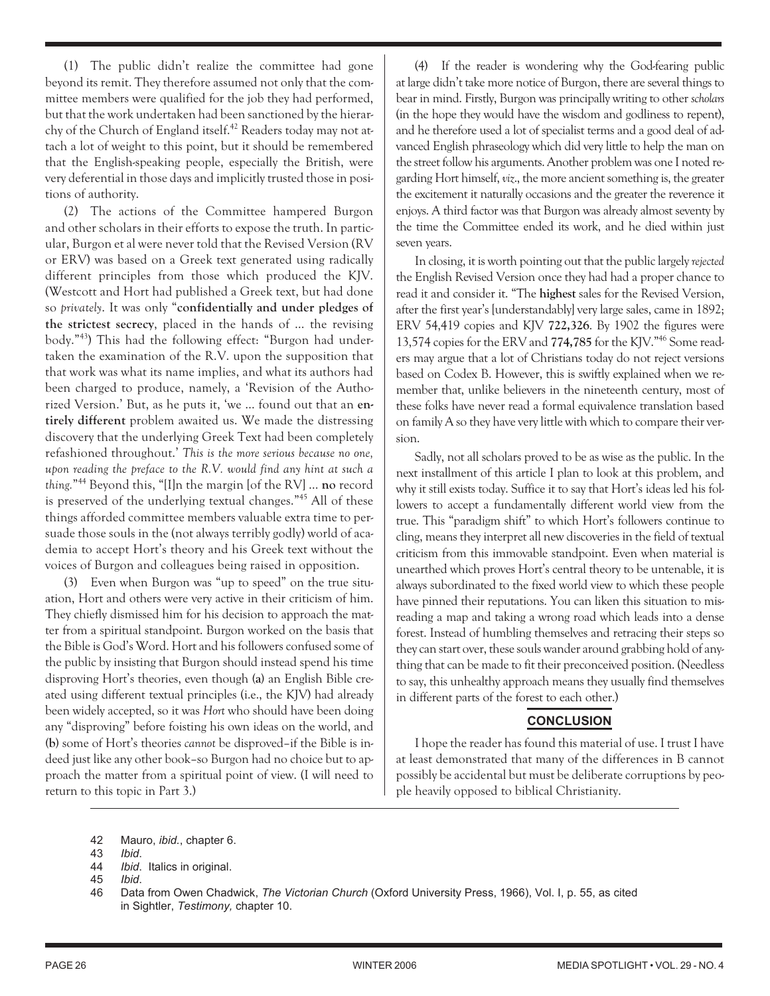(1) The public didn't realize the committee had gone beyond its remit. They therefore assumed not only that the committee members were qualified for the job they had performed, but that the work undertaken had been sanctioned by the hierarchy of the Church of England itself.<sup>42</sup> Readers today may not attach a lot of weight to this point, but it should be remembered that the English-speaking people, especially the British, were very deferential in those days and implicitly trusted those in positions of authority.

(2) The actions of the Committee hampered Burgon and other scholars in their efforts to expose the truth. In particular, Burgon et al were never told that the Revised Version (RV or ERV) was based on a Greek text generated using radically different principles from those which produced the KJV. (Westcott and Hort had published a Greek text, but had done so *privately*. It was only "**confidentially and under pledges of the strictest secrecy**, placed in the hands of … the revising body."43) This had the following effect: "Burgon had undertaken the examination of the R.V. upon the supposition that that work was what its name implies, and what its authors had been charged to produce, namely, a 'Revision of the Authorized Version.' But, as he puts it, 'we … found out that an **entirely different** problem awaited us. We made the distressing discovery that the underlying Greek Text had been completely refashioned throughout.' *This is the more serious because no one, upon reading the preface to the R.V. would find any hint at such a thing.*"44 Beyond this, "[I]n the margin [of the RV] … **no** record is preserved of the underlying textual changes."45 All of these things afforded committee members valuable extra time to persuade those souls in the (not always terribly godly) world of academia to accept Hort's theory and his Greek text without the voices of Burgon and colleagues being raised in opposition.

(3) Even when Burgon was "up to speed" on the true situation, Hort and others were very active in their criticism of him. They chiefly dismissed him for his decision to approach the matter from a spiritual standpoint. Burgon worked on the basis that the Bible is God's Word. Hort and his followers confused some of the public by insisting that Burgon should instead spend his time disproving Hort's theories, even though **(a)** an English Bible created using different textual principles (i.e., the KJV) had already been widely accepted, so it was *Hort* who should have been doing any "disproving" before foisting his own ideas on the world, and **(b)** some of Hort's theories *cannot* be disproved–if the Bible is indeed just like any other book–so Burgon had no choice but to approach the matter from a spiritual point of view. (I will need to return to this topic in Part 3.)

(4) If the reader is wondering why the God-fearing public at large didn't take more notice of Burgon, there are several things to bear in mind. Firstly, Burgon was principally writing to other *scholars* (in the hope they would have the wisdom and godliness to repent), and he therefore used a lot of specialist terms and a good deal of advanced English phraseology which did very little to help the man on the street follow his arguments. Another problem was one I noted regarding Hort himself,*viz*., the more ancient something is, the greater the excitement it naturally occasions and the greater the reverence it enjoys. A third factor was that Burgon was already almost seventy by the time the Committee ended its work, and he died within just seven years.

In closing, it is worth pointing out that the public largely*rejected* the English Revised Version once they had had a proper chance to read it and consider it. "The **highest** sales for the Revised Version, after the first year's [understandably] very large sales, came in 1892; ERV 54,419 copies and KJV **722,326**. By 1902 the figures were 13,574 copies for the ERV and **774,785** for the KJV."46 Some readers may argue that a lot of Christians today do not reject versions based on Codex B. However, this is swiftly explained when we remember that, unlike believers in the nineteenth century, most of these folks have never read a formal equivalence translation based on family A so they have very little with which to compare their version.

Sadly, not all scholars proved to be as wise as the public. In the next installment of this article I plan to look at this problem, and why it still exists today. Suffice it to say that Hort's ideas led his followers to accept a fundamentally different world view from the true. This "paradigm shift" to which Hort's followers continue to cling, means they interpret all new discoveries in the field of textual criticism from this immovable standpoint. Even when material is unearthed which proves Hort's central theory to be untenable, it is always subordinated to the fixed world view to which these people have pinned their reputations. You can liken this situation to misreading a map and taking a wrong road which leads into a dense forest. Instead of humbling themselves and retracing their steps so they can start over, these souls wander around grabbing hold of anything that can be made to fit their preconceived position. (Needless to say, this unhealthy approach means they usually find themselves in different parts of the forest to each other.)

# **CONCLUSION**

I hope the reader has found this material of use. I trust I have at least demonstrated that many of the differences in B cannot possibly be accidental but must be deliberate corruptions by people heavily opposed to biblical Christianity.

<sup>42</sup> Mauro, *ibid.*, chapter 6.

<sup>43</sup> *Ibid*.

<sup>44</sup> *Ibid*. Italics in original.

<sup>45</sup> *Ibid*.

<sup>46</sup> Data from Owen Chadwick, *The Victorian Church* (Oxford University Press, 1966), Vol. I, p. 55, as cited in Sightler, *Testimony,* chapter 10.